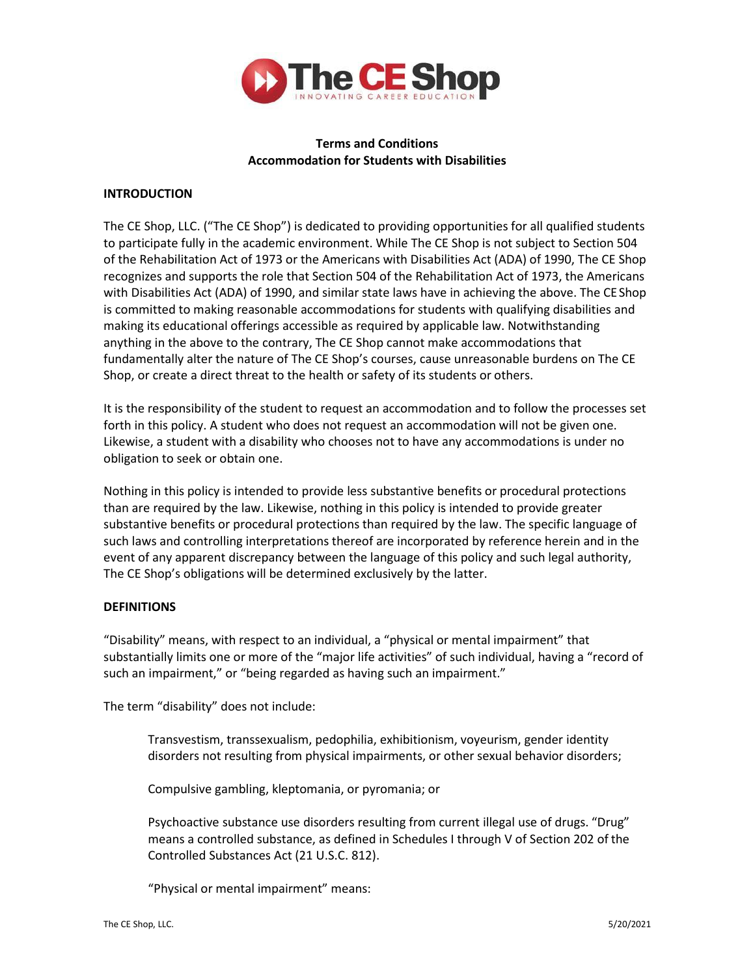

# **Terms and Conditions Accommodation for Students with Disabilities**

## **INTRODUCTION**

The CE Shop, LLC. ("The CE Shop") is dedicated to providing opportunities for all qualified students to participate fully in the academic environment. While The CE Shop is not subject to Section 504 of the Rehabilitation Act of 1973 or the Americans with Disabilities Act (ADA) of 1990, The CE Shop recognizes and supports the role that Section 504 of the Rehabilitation Act of 1973, the Americans with Disabilities Act (ADA) of 1990, and similar state laws have in achieving the above. The CEShop is committed to making reasonable accommodations for students with qualifying disabilities and making its educational offerings accessible as required by applicable law. Notwithstanding anything in the above to the contrary, The CE Shop cannot make accommodations that fundamentally alter the nature of The CE Shop's courses, cause unreasonable burdens on The CE Shop, or create a direct threat to the health or safety of its students or others.

It is the responsibility of the student to request an accommodation and to follow the processes set forth in this policy. A student who does not request an accommodation will not be given one. Likewise, a student with a disability who chooses not to have any accommodations is under no obligation to seek or obtain one.

Nothing in this policy is intended to provide less substantive benefits or procedural protections than are required by the law. Likewise, nothing in this policy is intended to provide greater substantive benefits or procedural protections than required by the law. The specific language of such laws and controlling interpretations thereof are incorporated by reference herein and in the event of any apparent discrepancy between the language of this policy and such legal authority, The CE Shop's obligations will be determined exclusively by the latter.

## **DEFINITIONS**

"Disability" means, with respect to an individual, a "physical or mental impairment" that substantially limits one or more of the "major life activities" of such individual, having a "record of such an impairment," or "being regarded as having such an impairment."

The term "disability" does not include:

Transvestism, transsexualism, pedophilia, exhibitionism, voyeurism, gender identity disorders not resulting from physical impairments, or other sexual behavior disorders;

Compulsive gambling, kleptomania, or pyromania; or

Psychoactive substance use disorders resulting from current illegal use of drugs. "Drug" means a controlled substance, as defined in Schedules I through V of Section 202 of the Controlled Substances Act (21 U.S.C. 812).

"Physical or mental impairment" means: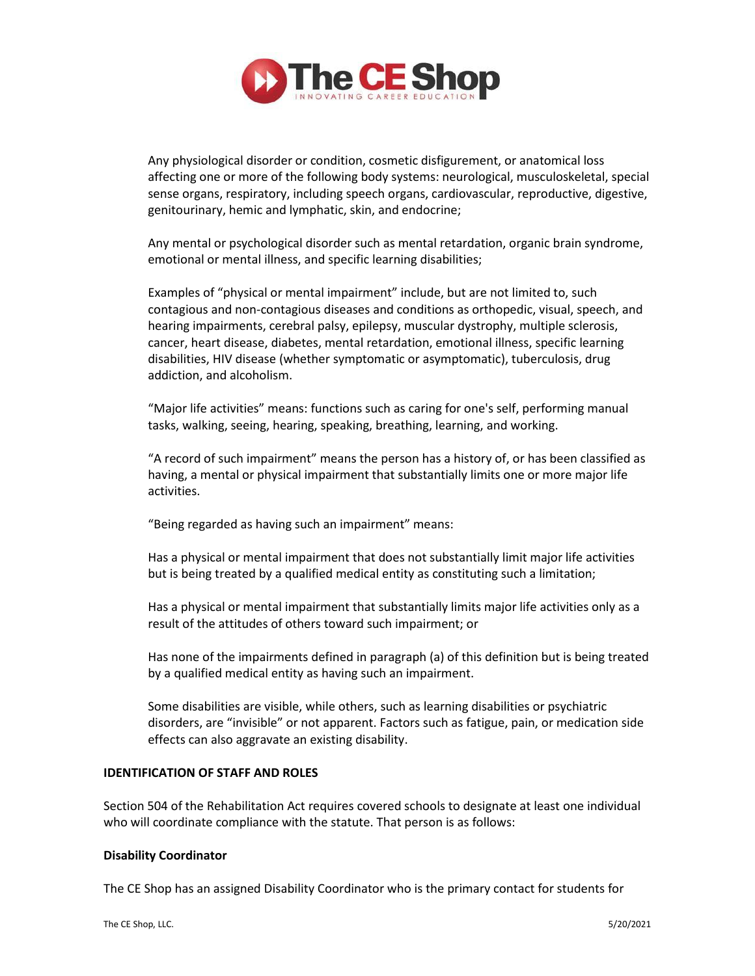

Any physiological disorder or condition, cosmetic disfigurement, or anatomical loss affecting one or more of the following body systems: neurological, musculoskeletal, special sense organs, respiratory, including speech organs, cardiovascular, reproductive, digestive, genitourinary, hemic and lymphatic, skin, and endocrine;

Any mental or psychological disorder such as mental retardation, organic brain syndrome, emotional or mental illness, and specific learning disabilities;

Examples of "physical or mental impairment" include, but are not limited to, such contagious and non‐contagious diseases and conditions as orthopedic, visual, speech, and hearing impairments, cerebral palsy, epilepsy, muscular dystrophy, multiple sclerosis, cancer, heart disease, diabetes, mental retardation, emotional illness, specific learning disabilities, HIV disease (whether symptomatic or asymptomatic), tuberculosis, drug addiction, and alcoholism.

"Major life activities" means: functions such as caring for one's self, performing manual tasks, walking, seeing, hearing, speaking, breathing, learning, and working.

"A record of such impairment" means the person has a history of, or has been classified as having, a mental or physical impairment that substantially limits one or more major life activities.

"Being regarded as having such an impairment" means:

Has a physical or mental impairment that does not substantially limit major life activities but is being treated by a qualified medical entity as constituting such a limitation;

Has a physical or mental impairment that substantially limits major life activities only as a result of the attitudes of others toward such impairment; or

Has none of the impairments defined in paragraph (a) of this definition but is being treated by a qualified medical entity as having such an impairment.

Some disabilities are visible, while others, such as learning disabilities or psychiatric disorders, are "invisible" or not apparent. Factors such as fatigue, pain, or medication side effects can also aggravate an existing disability.

#### **IDENTIFICATION OF STAFF AND ROLES**

Section 504 of the Rehabilitation Act requires covered schools to designate at least one individual who will coordinate compliance with the statute. That person is as follows:

#### **Disability Coordinator**

The CE Shop has an assigned Disability Coordinator who is the primary contact for students for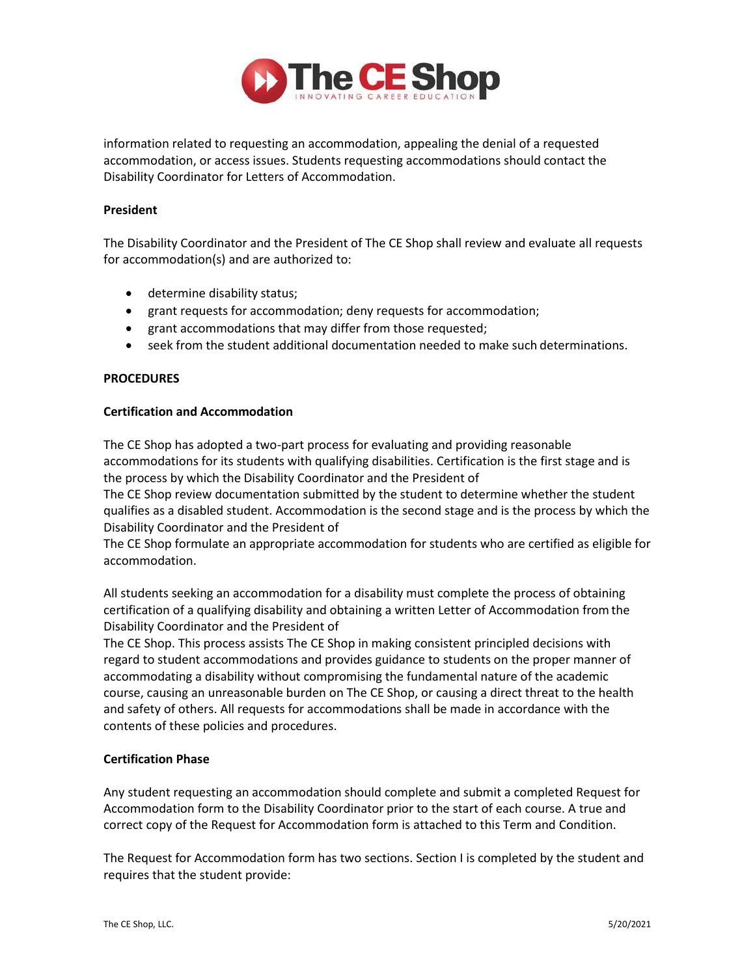

information related to requesting an accommodation, appealing the denial of a requested accommodation, or access issues. Students requesting accommodations should contact the Disability Coordinator for Letters of Accommodation.

#### **President**

The Disability Coordinator and the President of The CE Shop shall review and evaluate all requests for accommodation(s) and are authorized to:

- determine disability status;
- grant requests for accommodation; deny requests for accommodation;
- grant accommodations that may differ from those requested;
- seek from the student additional documentation needed to make such determinations.

### **PROCEDURES**

#### **Certification and Accommodation**

The CE Shop has adopted a two-part process for evaluating and providing reasonable accommodations for its students with qualifying disabilities. Certification is the first stage and is the process by which the Disability Coordinator and the President of

The CE Shop review documentation submitted by the student to determine whether the student qualifies as a disabled student. Accommodation is the second stage and is the process by which the Disability Coordinator and the President of

The CE Shop formulate an appropriate accommodation for students who are certified as eligible for accommodation.

All students seeking an accommodation for a disability must complete the process of obtaining certification of a qualifying disability and obtaining a written Letter of Accommodation fromthe Disability Coordinator and the President of

The CE Shop. This process assists The CE Shop in making consistent principled decisions with regard to student accommodations and provides guidance to students on the proper manner of accommodating a disability without compromising the fundamental nature of the academic course, causing an unreasonable burden on The CE Shop, or causing a direct threat to the health and safety of others. All requests for accommodations shall be made in accordance with the contents of these policies and procedures.

## **Certification Phase**

Any student requesting an accommodation should complete and submit a completed Request for Accommodation form to the Disability Coordinator prior to the start of each course. A true and correct copy of the Request for Accommodation form is attached to this Term and Condition.

The Request for Accommodation form has two sections. Section I is completed by the student and requires that the student provide: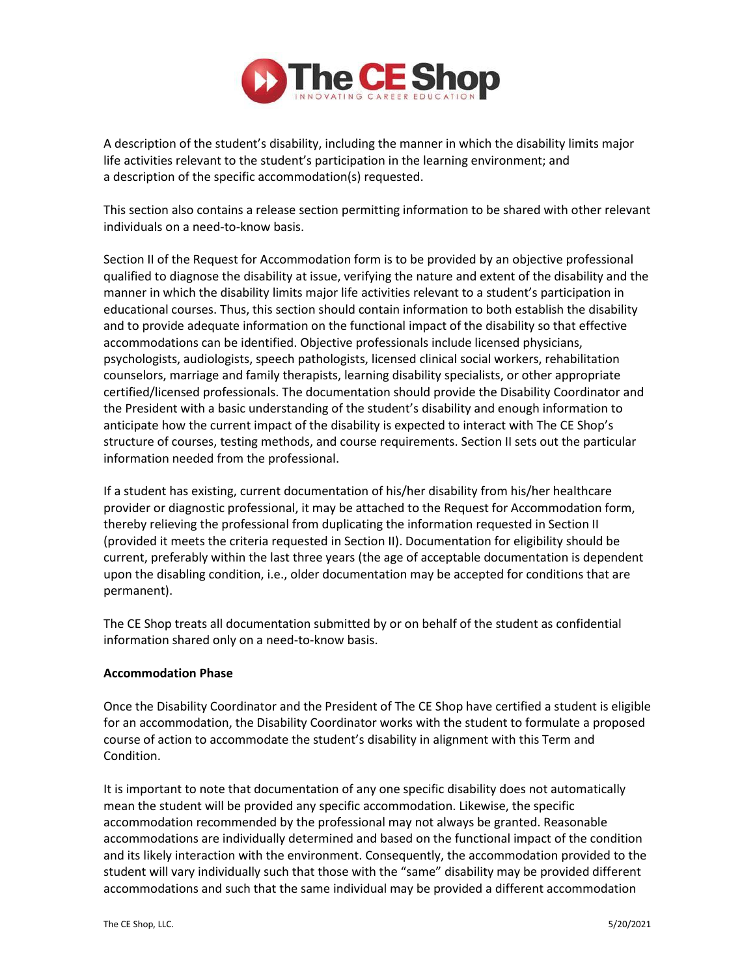

A description of the student's disability, including the manner in which the disability limits major life activities relevant to the student's participation in the learning environment; and a description of the specific accommodation(s) requested.

This section also contains a release section permitting information to be shared with other relevant individuals on a need‐to‐know basis.

Section II of the Request for Accommodation form is to be provided by an objective professional qualified to diagnose the disability at issue, verifying the nature and extent of the disability and the manner in which the disability limits major life activities relevant to a student's participation in educational courses. Thus, this section should contain information to both establish the disability and to provide adequate information on the functional impact of the disability so that effective accommodations can be identified. Objective professionals include licensed physicians, psychologists, audiologists, speech pathologists, licensed clinical social workers, rehabilitation counselors, marriage and family therapists, learning disability specialists, or other appropriate certified/licensed professionals. The documentation should provide the Disability Coordinator and the President with a basic understanding of the student's disability and enough information to anticipate how the current impact of the disability is expected to interact with The CE Shop's structure of courses, testing methods, and course requirements. Section II sets out the particular information needed from the professional.

If a student has existing, current documentation of his/her disability from his/her healthcare provider or diagnostic professional, it may be attached to the Request for Accommodation form, thereby relieving the professional from duplicating the information requested in Section II (provided it meets the criteria requested in Section II). Documentation for eligibility should be current, preferably within the last three years (the age of acceptable documentation is dependent upon the disabling condition, i.e., older documentation may be accepted for conditions that are permanent).

The CE Shop treats all documentation submitted by or on behalf of the student as confidential information shared only on a need‐to‐know basis.

#### **Accommodation Phase**

Once the Disability Coordinator and the President of The CE Shop have certified a student is eligible for an accommodation, the Disability Coordinator works with the student to formulate a proposed course of action to accommodate the student's disability in alignment with this Term and Condition.

It is important to note that documentation of any one specific disability does not automatically mean the student will be provided any specific accommodation. Likewise, the specific accommodation recommended by the professional may not always be granted. Reasonable accommodations are individually determined and based on the functional impact of the condition and its likely interaction with the environment. Consequently, the accommodation provided to the student will vary individually such that those with the "same" disability may be provided different accommodations and such that the same individual may be provided a different accommodation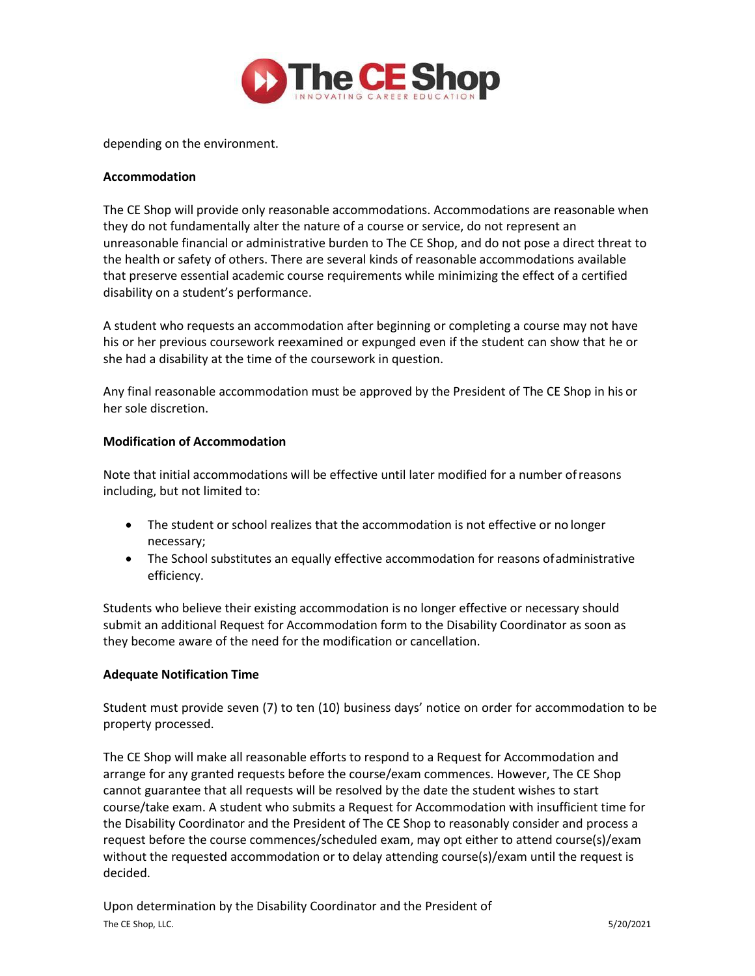

depending on the environment.

### **Accommodation**

The CE Shop will provide only reasonable accommodations. Accommodations are reasonable when they do not fundamentally alter the nature of a course or service, do not represent an unreasonable financial or administrative burden to The CE Shop, and do not pose a direct threat to the health or safety of others. There are several kinds of reasonable accommodations available that preserve essential academic course requirements while minimizing the effect of a certified disability on a student's performance.

A student who requests an accommodation after beginning or completing a course may not have his or her previous coursework reexamined or expunged even if the student can show that he or she had a disability at the time of the coursework in question.

Any final reasonable accommodation must be approved by the President of The CE Shop in his or her sole discretion.

### **Modification of Accommodation**

Note that initial accommodations will be effective until later modified for a number ofreasons including, but not limited to:

- The student or school realizes that the accommodation is not effective or no longer necessary;
- The School substitutes an equally effective accommodation for reasons ofadministrative efficiency.

Students who believe their existing accommodation is no longer effective or necessary should submit an additional Request for Accommodation form to the Disability Coordinator as soon as they become aware of the need for the modification or cancellation.

## **Adequate Notification Time**

Student must provide seven (7) to ten (10) business days' notice on order for accommodation to be property processed.

The CE Shop will make all reasonable efforts to respond to a Request for Accommodation and arrange for any granted requests before the course/exam commences. However, The CE Shop cannot guarantee that all requests will be resolved by the date the student wishes to start course/take exam. A student who submits a Request for Accommodation with insufficient time for the Disability Coordinator and the President of The CE Shop to reasonably consider and process a request before the course commences/scheduled exam, may opt either to attend course(s)/exam without the requested accommodation or to delay attending course(s)/exam until the request is decided.